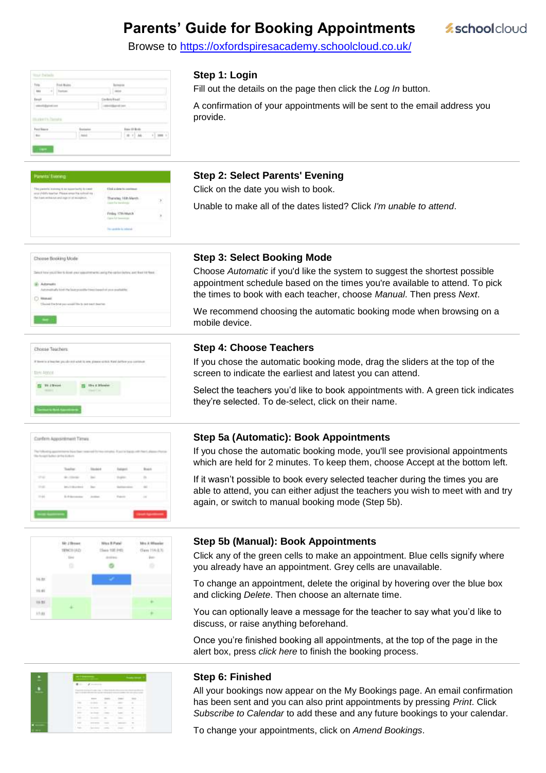# **Parents' Guide for Booking Appointments**

Browse to https://oxfordspiresacademy.schoolcloud.co.uk/

| $-110$<br>Hutter's Newton |  | kernal-isam<br><b>START</b> |  |
|---------------------------|--|-----------------------------|--|
|                           |  |                             |  |

Clok's daw Thanma Hills March

#### **Step 1: Login**

Fill out the details on the page then click the *Log In* button.

A confirmation of your appointments will be sent to the email address you provide.

*<u>schoolcloud</u>* 

### **Step 2: Select Parents' Evening**

Click on the date you wish to book.

Unable to make all of the dates listed? Click *I'm unable to attend*.

| Choose Booking Mod<br>the company of the company of the            |
|--------------------------------------------------------------------|
| is book your uppartment Lang the carbot lating and that<br>1.5 1.4 |
| <b>ARREST MADE AND PROPERTY</b><br>Cook Hy harrycastle finesties   |
| Classed the first year wants<br>material control of the            |
|                                                                    |

| a lowerhar pouzale out with | a contrast former and start of our finance regists areas in plays hole concerns |
|-----------------------------|---------------------------------------------------------------------------------|
| <b>Little Abbot</b>         |                                                                                 |
|                             |                                                                                 |
|                             |                                                                                 |





#### **Step 3: Select Booking Mode**

Choose *Automatic* if you'd like the system to suggest the shortest possible appointment schedule based on the times you're available to attend. To pick the times to book with each teacher, choose *Manual*. Then press *Next*.

We recommend choosing the automatic booking mode when browsing on a mobile device.

#### **Step 4: Choose Teachers**

If you chose the automatic booking mode, drag the sliders at the top of the screen to indicate the earliest and latest you can attend.

Select the teachers you'd like to book appointments with. A green tick indicates they're selected. To de-select, click on their name.

#### **Step 5a (Automatic): Book Appointments**

If you chose the automatic booking mode, you'll see provisional appointments which are held for 2 minutes. To keep them, choose Accept at the bottom left.

If it wasn't possible to book every selected teacher during the times you are able to attend, you can either adjust the teachers you wish to meet with and try again, or switch to manual booking mode (Step 5b).

#### **Step 5b (Manual): Book Appointments**

Click any of the green cells to make an appointment. Blue cells signify where you already have an appointment. Grey cells are unavailable.

To change an appointment, delete the original by hovering over the blue box and clicking *Delete*. Then choose an alternate time.

You can optionally leave a message for the teacher to say what you'd like to discuss, or raise anything beforehand.

Once you're finished booking all appointments, at the top of the page in the alert box, press *click here* to finish the booking process.



#### **Step 6: Finished**

All your bookings now appear on the My Bookings page. An email confirmation has been sent and you can also print appointments by pressing *Print*. Click *Subscribe to Calendar* to add these and any future bookings to your calendar.

To change your appointments, click on *Amend Bookings*.